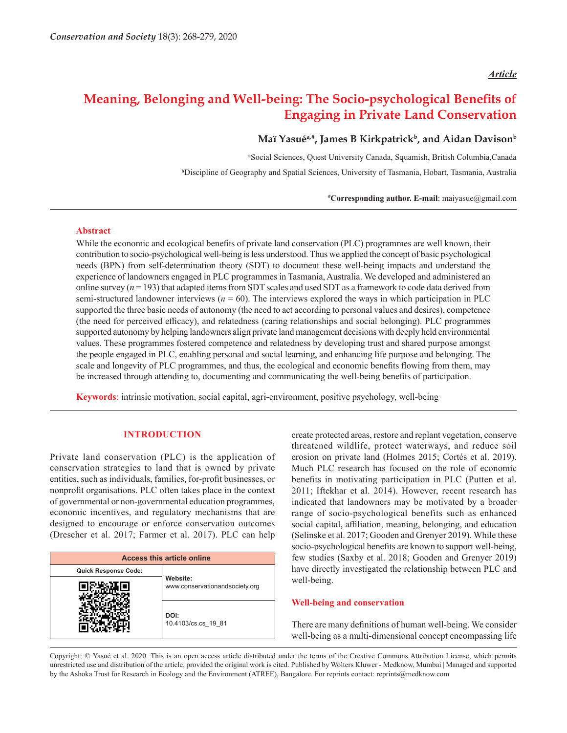## *Article*

# **Meaning, Belonging and Well-being: The Socio-psychological Benefits of Engaging in Private Land Conservation**

# Maï Yasué<sup>a,#</sup>, James B Kirkpatrick<sup>b</sup>, and Aidan Davison<sup>b</sup>

**a** Social Sciences, Quest University Canada, Squamish, British Columbia,Canada

**b** Discipline of Geography and Spatial Sciences, University of Tasmania, Hobart, Tasmania, Australia

**# Corresponding author. E-mail**: maiyasue@gmail.com

## **Abstract**

While the economic and ecological benefits of private land conservation (PLC) programmes are well known, their contribution to socio-psychological well-being is less understood. Thus we applied the concept of basic psychological needs (BPN) from self-determination theory (SDT) to document these well-being impacts and understand the experience of landowners engaged in PLC programmes in Tasmania, Australia. We developed and administered an online survey  $(n = 193)$  that adapted items from SDT scales and used SDT as a framework to code data derived from semi-structured landowner interviews  $(n = 60)$ . The interviews explored the ways in which participation in PLC supported the three basic needs of autonomy (the need to act according to personal values and desires), competence (the need for perceived efficacy), and relatedness (caring relationships and social belonging). PLC programmes supported autonomy by helping landowners align private land management decisions with deeply held environmental values. These programmes fostered competence and relatedness by developing trust and shared purpose amongst the people engaged in PLC, enabling personal and social learning, and enhancing life purpose and belonging. The scale and longevity of PLC programmes, and thus, the ecological and economic benefits flowing from them, may be increased through attending to, documenting and communicating the well-being benefits of participation.

**Keywords**: intrinsic motivation, social capital, agri-environment, positive psychology, well-being

## **INTRODUCTION**

Private land conservation (PLC) is the application of conservation strategies to land that is owned by private entities, such as individuals, families, for-profit businesses, or nonprofit organisations. PLC often takes place in the context of governmental or non-governmental education programmes, economic incentives, and regulatory mechanisms that are designed to encourage or enforce conservation outcomes (Drescher et al. 2017; Farmer et al. 2017). PLC can help

| <b>Access this article online</b> |                                            |
|-----------------------------------|--------------------------------------------|
| <b>Quick Response Code:</b>       |                                            |
|                                   | Website:<br>www.conservationandsociety.org |
|                                   | DOI:<br>10.4103/cs.cs 19 81                |

create protected areas, restore and replant vegetation, conserve threatened wildlife, protect waterways, and reduce soil erosion on private land (Holmes 2015; Cortés et al. 2019). Much PLC research has focused on the role of economic benefits in motivating participation in PLC (Putten et al. 2011; Iftekhar et al. 2014). However, recent research has indicated that landowners may be motivated by a broader range of socio-psychological benefits such as enhanced social capital, affiliation, meaning, belonging, and education (Selinske et al. 2017; Gooden and Grenyer 2019). While these socio-psychological benefits are known to support well-being, few studies (Saxby et al. 2018; Gooden and Grenyer 2019) have directly investigated the relationship between PLC and well-being.

#### **Well-being and conservation**

There are many definitions of human well-being. We consider well-being as a multi-dimensional concept encompassing life

Copyright: © Yasué et al. 2020. This is an open access article distributed under the terms of the Creative Commons Attribution License, which permits unrestricted use and distribution of the article, provided the original work is cited. Published by Wolters Kluwer - Medknow, Mumbai | Managed and supported by the Ashoka Trust for Research in Ecology and the Environment (ATREE), Bangalore. For reprints contact: reprints@medknow.com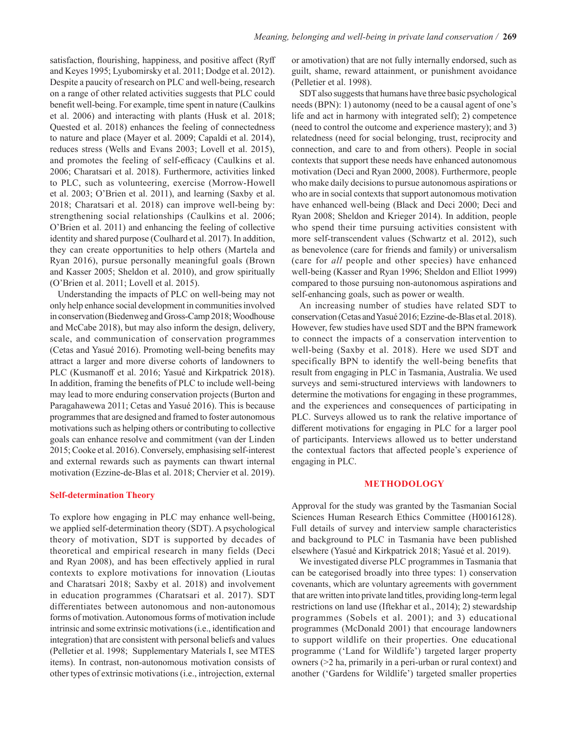satisfaction, flourishing, happiness, and positive affect (Ryff and Keyes 1995; Lyubomirsky et al. 2011; Dodge et al. 2012). Despite a paucity of research on PLC and well-being, research on a range of other related activities suggests that PLC could benefit well-being. For example, time spent in nature (Caulkins et al. 2006) and interacting with plants (Husk et al. 2018; Quested et al. 2018) enhances the feeling of connectedness to nature and place (Mayer et al. 2009; Capaldi et al. 2014), reduces stress (Wells and Evans 2003; Lovell et al. 2015), and promotes the feeling of self-efficacy (Caulkins et al. 2006; Charatsari et al. 2018). Furthermore, activities linked to PLC, such as volunteering, exercise (Morrow-Howell et al. 2003; O'Brien et al. 2011), and learning (Saxby et al. 2018; Charatsari et al. 2018) can improve well-being by: strengthening social relationships (Caulkins et al. 2006; O'Brien et al. 2011) and enhancing the feeling of collective identity and shared purpose (Coulhard et al. 2017). In addition, they can create opportunities to help others (Martela and Ryan 2016), pursue personally meaningful goals (Brown and Kasser 2005; Sheldon et al. 2010), and grow spiritually (O'Brien et al. 2011; Lovell et al. 2015).

Understanding the impacts of PLC on well-being may not only help enhance social development in communities involved in conservation (Biedenweg and Gross-Camp 2018; Woodhouse and McCabe 2018), but may also inform the design, delivery, scale, and communication of conservation programmes (Cetas and Yasué 2016). Promoting well-being benefits may attract a larger and more diverse cohorts of landowners to PLC (Kusmanoff et al. 2016; Yasué and Kirkpatrick 2018). In addition, framing the benefits of PLC to include well-being may lead to more enduring conservation projects (Burton and Paragahawewa 2011; Cetas and Yasué 2016). This is because programmes that are designed and framed to foster autonomous motivations such as helping others or contributing to collective goals can enhance resolve and commitment (van der Linden 2015; Cooke et al. 2016). Conversely, emphasising self-interest and external rewards such as payments can thwart internal motivation (Ezzine-de-Blas et al. 2018; Chervier et al. 2019).

#### **Self-determination Theory**

To explore how engaging in PLC may enhance well-being, we applied self-determination theory (SDT). A psychological theory of motivation, SDT is supported by decades of theoretical and empirical research in many fields (Deci and Ryan 2008), and has been effectively applied in rural contexts to explore motivations for innovation (Lioutas and Charatsari 2018; Saxby et al. 2018) and involvement in education programmes (Charatsari et al. 2017). SDT differentiates between autonomous and non-autonomous forms of motivation. Autonomous forms of motivation include intrinsic and some extrinsic motivations (i.e., identification and integration) that are consistent with personal beliefs and values (Pelletier et al. 1998; Supplementary Materials I, see MTES items). In contrast, non-autonomous motivation consists of other types of extrinsic motivations (i.e., introjection, external or amotivation) that are not fully internally endorsed, such as guilt, shame, reward attainment, or punishment avoidance (Pelletier et al. 1998).

SDT also suggests that humans have three basic psychological needs (BPN): 1) autonomy (need to be a causal agent of one's life and act in harmony with integrated self); 2) competence (need to control the outcome and experience mastery); and 3) relatedness (need for social belonging, trust, reciprocity and connection, and care to and from others). People in social contexts that support these needs have enhanced autonomous motivation (Deci and Ryan 2000, 2008). Furthermore, people who make daily decisions to pursue autonomous aspirations or who are in social contexts that support autonomous motivation have enhanced well-being (Black and Deci 2000; Deci and Ryan 2008; Sheldon and Krieger 2014). In addition, people who spend their time pursuing activities consistent with more self-transcendent values (Schwartz et al. 2012), such as benevolence (care for friends and family) or universalism (care for *all* people and other species) have enhanced well-being (Kasser and Ryan 1996; Sheldon and Elliot 1999) compared to those pursuing non-autonomous aspirations and self-enhancing goals, such as power or wealth.

An increasing number of studies have related SDT to conservation (Cetas and Yasué 2016; Ezzine-de-Blas et al. 2018). However, few studies have used SDT and the BPN framework to connect the impacts of a conservation intervention to well-being (Saxby et al. 2018). Here we used SDT and specifically BPN to identify the well-being benefits that result from engaging in PLC in Tasmania, Australia. We used surveys and semi-structured interviews with landowners to determine the motivations for engaging in these programmes, and the experiences and consequences of participating in PLC. Surveys allowed us to rank the relative importance of different motivations for engaging in PLC for a larger pool of participants. Interviews allowed us to better understand the contextual factors that affected people's experience of engaging in PLC.

#### **METHODOLOGY**

Approval for the study was granted by the Tasmanian Social Sciences Human Research Ethics Committee (H0016128). Full details of survey and interview sample characteristics and background to PLC in Tasmania have been published elsewhere (Yasué and Kirkpatrick 2018; Yasué et al. 2019).

We investigated diverse PLC programmes in Tasmania that can be categorised broadly into three types: 1) conservation covenants, which are voluntary agreements with government that are written into private land titles, providing long-term legal restrictions on land use (Iftekhar et al., 2014); 2) stewardship programmes (Sobels et al. 2001); and 3) educational programmes (McDonald 2001) that encourage landowners to support wildlife on their properties. One educational programme ('Land for Wildlife') targeted larger property owners (>2 ha, primarily in a peri-urban or rural context) and another ('Gardens for Wildlife') targeted smaller properties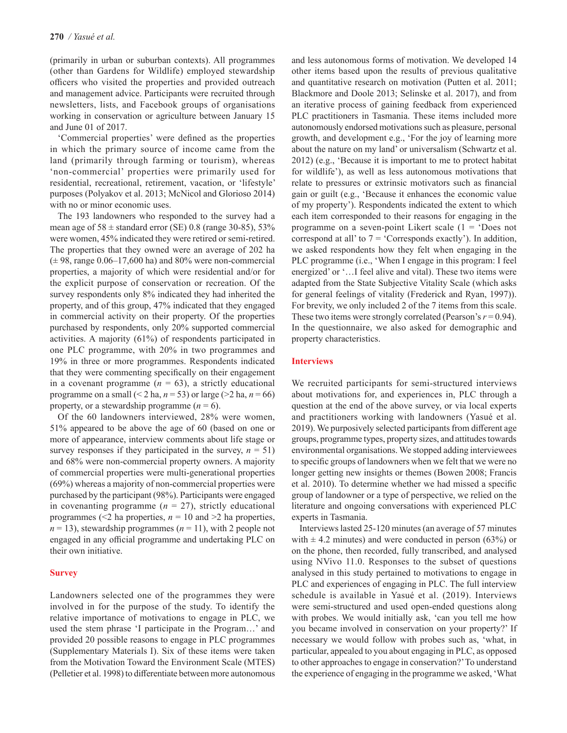(primarily in urban or suburban contexts). All programmes (other than Gardens for Wildlife) employed stewardship officers who visited the properties and provided outreach and management advice. Participants were recruited through newsletters, lists, and Facebook groups of organisations working in conservation or agriculture between January 15 and June 01 of 2017.

'Commercial properties' were defined as the properties in which the primary source of income came from the land (primarily through farming or tourism), whereas 'non-commercial' properties were primarily used for residential, recreational, retirement, vacation, or 'lifestyle' purposes (Polyakov et al. 2013; McNicol and Glorioso 2014) with no or minor economic uses.

The 193 landowners who responded to the survey had a mean age of  $58 \pm$  standard error (SE) 0.8 (range 30-85), 53% were women, 45% indicated they were retired or semi-retired. The properties that they owned were an average of 202 ha  $(\pm 98$ , range 0.06–17,600 ha) and 80% were non-commercial properties, a majority of which were residential and/or for the explicit purpose of conservation or recreation. Of the survey respondents only 8% indicated they had inherited the property, and of this group, 47% indicated that they engaged in commercial activity on their property. Of the properties purchased by respondents, only 20% supported commercial activities. A majority (61%) of respondents participated in one PLC programme, with 20% in two programmes and 19% in three or more programmes. Respondents indicated that they were commenting specifically on their engagement in a covenant programme  $(n = 63)$ , a strictly educational programme on a small  $(< 2 \text{ ha}, n = 53)$  or large  $(> 2 \text{ ha}, n = 66)$ property, or a stewardship programme  $(n = 6)$ .

Of the 60 landowners interviewed, 28% were women, 51% appeared to be above the age of 60 (based on one or more of appearance, interview comments about life stage or survey responses if they participated in the survey,  $n = 51$ ) and 68% were non-commercial property owners. A majority of commercial properties were multi-generational properties (69%) whereas a majority of non-commercial properties were purchased by the participant (98%). Participants were engaged in covenanting programme (*n* = 27), strictly educational programmes ( $\leq 2$  ha properties,  $n = 10$  and  $\geq 2$  ha properties,  $n = 13$ ), stewardship programmes ( $n = 11$ ), with 2 people not engaged in any official programme and undertaking PLC on their own initiative.

#### **Survey**

Landowners selected one of the programmes they were involved in for the purpose of the study. To identify the relative importance of motivations to engage in PLC, we used the stem phrase 'I participate in the Program…' and provided 20 possible reasons to engage in PLC programmes (Supplementary Materials I). Six of these items were taken from the Motivation Toward the Environment Scale (MTES) (Pelletier et al. 1998) to differentiate between more autonomous and less autonomous forms of motivation. We developed 14 other items based upon the results of previous qualitative and quantitative research on motivation (Putten et al. 2011; Blackmore and Doole 2013; Selinske et al. 2017), and from an iterative process of gaining feedback from experienced PLC practitioners in Tasmania. These items included more autonomously endorsed motivations such as pleasure, personal growth, and development e.g., 'For the joy of learning more about the nature on my land' or universalism (Schwartz et al. 2012) (e.g., 'Because it is important to me to protect habitat for wildlife'), as well as less autonomous motivations that relate to pressures or extrinsic motivators such as financial gain or guilt (e.g., 'Because it enhances the economic value of my property'). Respondents indicated the extent to which each item corresponded to their reasons for engaging in the programme on a seven-point Likert scale  $(1 - 'Does not$ correspond at all' to  $7 = 'Corresponds$  exactly'). In addition, we asked respondents how they felt when engaging in the PLC programme (i.e., 'When I engage in this program: I feel energized' or '…I feel alive and vital). These two items were adapted from the State Subjective Vitality Scale (which asks for general feelings of vitality (Frederick and Ryan, 1997)). For brevity, we only included 2 of the 7 items from this scale. These two items were strongly correlated (Pearson's  $r = 0.94$ ). In the questionnaire, we also asked for demographic and property characteristics.

## **Interviews**

We recruited participants for semi-structured interviews about motivations for, and experiences in, PLC through a question at the end of the above survey, or via local experts and practitioners working with landowners (Yasué et al. 2019). We purposively selected participants from different age groups, programme types, property sizes, and attitudes towards environmental organisations. We stopped adding interviewees to specific groups of landowners when we felt that we were no longer getting new insights or themes (Bowen 2008; Francis et al. 2010). To determine whether we had missed a specific group of landowner or a type of perspective, we relied on the literature and ongoing conversations with experienced PLC experts in Tasmania.

Interviews lasted 25-120 minutes (an average of 57 minutes with  $\pm$  4.2 minutes) and were conducted in person (63%) or on the phone, then recorded, fully transcribed, and analysed using NVivo 11.0. Responses to the subset of questions analysed in this study pertained to motivations to engage in PLC and experiences of engaging in PLC. The full interview schedule is available in Yasué et al. (2019). Interviews were semi-structured and used open-ended questions along with probes. We would initially ask, 'can you tell me how you became involved in conservation on your property?' If necessary we would follow with probes such as, 'what, in particular, appealed to you about engaging in PLC, as opposed to other approaches to engage in conservation?' To understand the experience of engaging in the programme we asked, 'What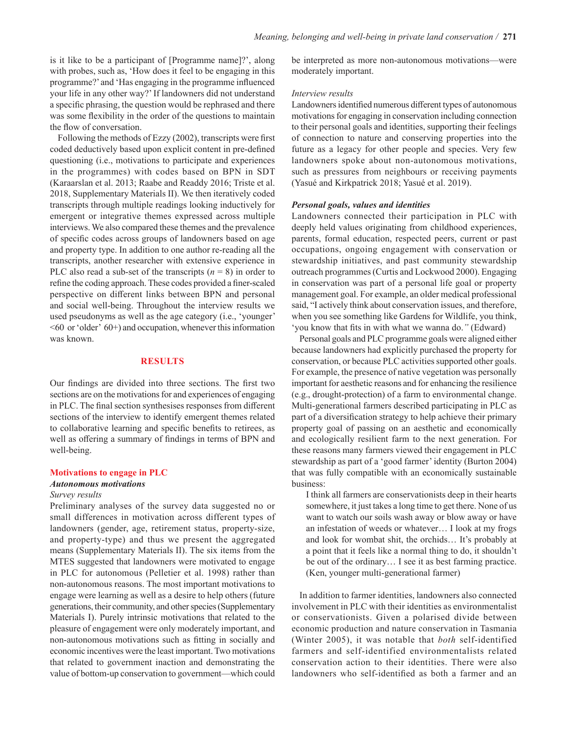is it like to be a participant of [Programme name]?', along with probes, such as, 'How does it feel to be engaging in this programme?' and 'Has engaging in the programme influenced your life in any other way?' If landowners did not understand a specific phrasing, the question would be rephrased and there was some flexibility in the order of the questions to maintain the flow of conversation.

Following the methods of Ezzy (2002), transcripts were first coded deductively based upon explicit content in pre-defined questioning (i.e., motivations to participate and experiences in the programmes) with codes based on BPN in SDT (Karaarslan et al. 2013; Raabe and Readdy 2016; Triste et al. 2018, Supplementary Materials II). We then iteratively coded transcripts through multiple readings looking inductively for emergent or integrative themes expressed across multiple interviews. We also compared these themes and the prevalence of specific codes across groups of landowners based on age and property type. In addition to one author re-reading all the transcripts, another researcher with extensive experience in PLC also read a sub-set of the transcripts  $(n = 8)$  in order to refine the coding approach. These codes provided a finer-scaled perspective on different links between BPN and personal and social well-being. Throughout the interview results we used pseudonyms as well as the age category (i.e., 'younger'  $\leq 60$  or 'older'  $60+$ ) and occupation, whenever this information was known.

## **RESULTS**

Our findings are divided into three sections. The first two sections are on the motivations for and experiences of engaging in PLC. The final section synthesises responses from different sections of the interview to identify emergent themes related to collaborative learning and specific benefits to retirees, as well as offering a summary of findings in terms of BPN and well-being.

## **Motivations to engage in PLC**

#### *Autonomous motivations*

#### *Survey results*

Preliminary analyses of the survey data suggested no or small differences in motivation across different types of landowners (gender, age, retirement status, property-size, and property-type) and thus we present the aggregated means (Supplementary Materials II). The six items from the MTES suggested that landowners were motivated to engage in PLC for autonomous (Pelletier et al. 1998) rather than non-autonomous reasons. The most important motivations to engage were learning as well as a desire to help others (future generations, their community, and other species (Supplementary Materials I). Purely intrinsic motivations that related to the pleasure of engagement were only moderately important, and non-autonomous motivations such as fitting in socially and economic incentives were the least important. Two motivations that related to government inaction and demonstrating the value of bottom-up conservation to government—which could

be interpreted as more non-autonomous motivations—were moderately important.

#### *Interview results*

Landowners identified numerous different types of autonomous motivations for engaging in conservation including connection to their personal goals and identities, supporting their feelings of connection to nature and conserving properties into the future as a legacy for other people and species. Very few landowners spoke about non-autonomous motivations, such as pressures from neighbours or receiving payments (Yasué and Kirkpatrick 2018; Yasué et al. 2019).

#### *Personal goals, values and identities*

Landowners connected their participation in PLC with deeply held values originating from childhood experiences, parents, formal education, respected peers, current or past occupations, ongoing engagement with conservation or stewardship initiatives, and past community stewardship outreach programmes (Curtis and Lockwood 2000). Engaging in conservation was part of a personal life goal or property management goal. For example, an older medical professional said, "I actively think about conservation issues, and therefore, when you see something like Gardens for Wildlife, you think, 'you know that fits in with what we wanna do.*"* (Edward)

Personal goals and PLC programme goals were aligned either because landowners had explicitly purchased the property for conservation, or because PLC activities supported other goals. For example, the presence of native vegetation was personally important for aesthetic reasons and for enhancing the resilience (e.g., drought-protection) of a farm to environmental change. Multi-generational farmers described participating in PLC as part of a diversification strategy to help achieve their primary property goal of passing on an aesthetic and economically and ecologically resilient farm to the next generation. For these reasons many farmers viewed their engagement in PLC stewardship as part of a 'good farmer' identity (Burton 2004) that was fully compatible with an economically sustainable business:

I think all farmers are conservationists deep in their hearts somewhere, it just takes a long time to get there. None of us want to watch our soils wash away or blow away or have an infestation of weeds or whatever… I look at my frogs and look for wombat shit, the orchids… It's probably at a point that it feels like a normal thing to do, it shouldn't be out of the ordinary… I see it as best farming practice. (Ken, younger multi-generational farmer)

In addition to farmer identities, landowners also connected involvement in PLC with their identities as environmentalist or conservationists. Given a polarised divide between economic production and nature conservation in Tasmania (Winter 2005), it was notable that *both* self-identified farmers and self-identified environmentalists related conservation action to their identities. There were also landowners who self-identified as both a farmer and an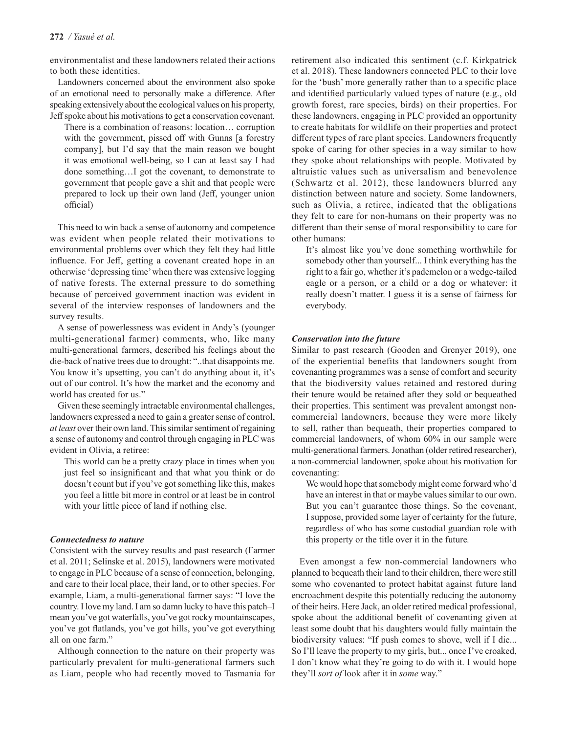environmentalist and these landowners related their actions to both these identities.

Landowners concerned about the environment also spoke of an emotional need to personally make a difference. After speaking extensively about the ecological values on his property, Jeff spoke about his motivations to get a conservation covenant.

There is a combination of reasons: location… corruption with the government, pissed off with Gunns [a forestry company], but I'd say that the main reason we bought it was emotional well-being, so I can at least say I had done something…I got the covenant, to demonstrate to government that people gave a shit and that people were prepared to lock up their own land (Jeff, younger union official)

This need to win back a sense of autonomy and competence was evident when people related their motivations to environmental problems over which they felt they had little influence. For Jeff, getting a covenant created hope in an otherwise 'depressing time' when there was extensive logging of native forests. The external pressure to do something because of perceived government inaction was evident in several of the interview responses of landowners and the survey results.

A sense of powerlessness was evident in Andy's (younger multi-generational farmer) comments, who, like many multi-generational farmers, described his feelings about the die-back of native trees due to drought: "..that disappoints me. You know it's upsetting, you can't do anything about it, it's out of our control. It's how the market and the economy and world has created for us."

Given these seemingly intractable environmental challenges, landowners expressed a need to gain a greater sense of control, *at least* over their own land. This similar sentiment of regaining a sense of autonomy and control through engaging in PLC was evident in Olivia, a retiree:

This world can be a pretty crazy place in times when you just feel so insignificant and that what you think or do doesn't count but if you've got something like this, makes you feel a little bit more in control or at least be in control with your little piece of land if nothing else.

## *Connectedness to nature*

Consistent with the survey results and past research (Farmer et al. 2011; Selinske et al. 2015), landowners were motivated to engage in PLC because of a sense of connection, belonging, and care to their local place, their land, or to other species. For example, Liam, a multi-generational farmer says: "I love the country. I love my land. I am so damn lucky to have this patch–I mean you've got waterfalls, you've got rocky mountainscapes, you've got flatlands, you've got hills, you've got everything all on one farm."

Although connection to the nature on their property was particularly prevalent for multi-generational farmers such as Liam, people who had recently moved to Tasmania for retirement also indicated this sentiment (c.f. Kirkpatrick et al. 2018). These landowners connected PLC to their love for the 'bush' more generally rather than to a specific place and identified particularly valued types of nature (e.g., old growth forest, rare species, birds) on their properties. For these landowners, engaging in PLC provided an opportunity to create habitats for wildlife on their properties and protect different types of rare plant species. Landowners frequently spoke of caring for other species in a way similar to how they spoke about relationships with people. Motivated by altruistic values such as universalism and benevolence (Schwartz et al. 2012), these landowners blurred any distinction between nature and society. Some landowners, such as Olivia, a retiree, indicated that the obligations they felt to care for non-humans on their property was no different than their sense of moral responsibility to care for other humans:

It's almost like you've done something worthwhile for somebody other than yourself... I think everything has the right to a fair go, whether it's pademelon or a wedge-tailed eagle or a person, or a child or a dog or whatever: it really doesn't matter. I guess it is a sense of fairness for everybody.

## *Conservation into the future*

Similar to past research (Gooden and Grenyer 2019), one of the experiential benefits that landowners sought from covenanting programmes was a sense of comfort and security that the biodiversity values retained and restored during their tenure would be retained after they sold or bequeathed their properties. This sentiment was prevalent amongst noncommercial landowners, because they were more likely to sell, rather than bequeath, their properties compared to commercial landowners, of whom 60% in our sample were multi-generational farmers. Jonathan (older retired researcher), a non-commercial landowner, spoke about his motivation for covenanting:

We would hope that somebody might come forward who'd have an interest in that or maybe values similar to our own. But you can't guarantee those things. So the covenant, I suppose, provided some layer of certainty for the future, regardless of who has some custodial guardian role with this property or the title over it in the future*.*

Even amongst a few non-commercial landowners who planned to bequeath their land to their children, there were still some who covenanted to protect habitat against future land encroachment despite this potentially reducing the autonomy of their heirs. Here Jack, an older retired medical professional, spoke about the additional benefit of covenanting given at least some doubt that his daughters would fully maintain the biodiversity values: "If push comes to shove, well if I die... So I'll leave the property to my girls, but... once I've croaked, I don't know what they're going to do with it. I would hope they'll *sort of* look after it in *some* way."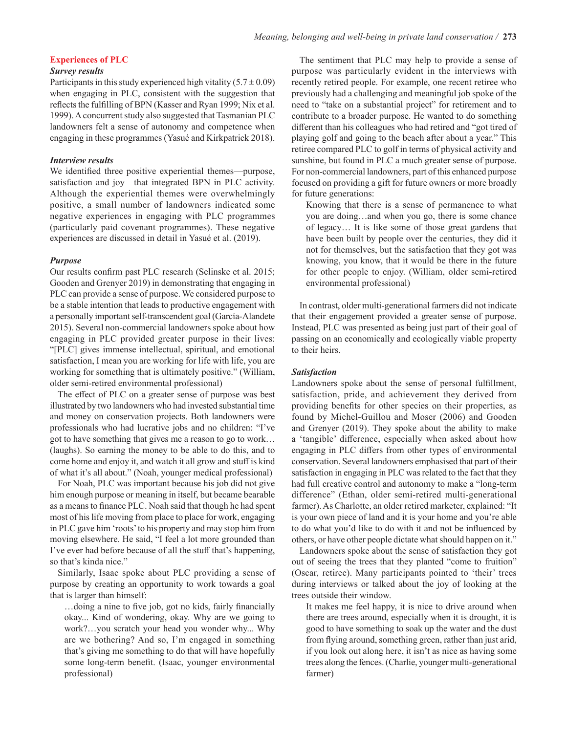## **Experiences of PLC**

## *Survey results*

Participants in this study experienced high vitality  $(5.7 \pm 0.09)$ when engaging in PLC, consistent with the suggestion that reflects the fulfilling of BPN (Kasser and Ryan 1999; Nix et al. 1999). A concurrent study also suggested that Tasmanian PLC landowners felt a sense of autonomy and competence when engaging in these programmes (Yasué and Kirkpatrick 2018).

## *Interview results*

We identified three positive experiential themes—purpose, satisfaction and joy—that integrated BPN in PLC activity. Although the experiential themes were overwhelmingly positive, a small number of landowners indicated some negative experiences in engaging with PLC programmes (particularly paid covenant programmes). These negative experiences are discussed in detail in Yasué et al. (2019).

#### *Purpose*

Our results confirm past PLC research (Selinske et al. 2015; Gooden and Grenyer 2019) in demonstrating that engaging in PLC can provide a sense of purpose. We considered purpose to be a stable intention that leads to productive engagement with a personally important self-transcendent goal (García-Alandete 2015). Several non-commercial landowners spoke about how engaging in PLC provided greater purpose in their lives: "[PLC] gives immense intellectual, spiritual, and emotional satisfaction, I mean you are working for life with life, you are working for something that is ultimately positive." (William, older semi-retired environmental professional)

The effect of PLC on a greater sense of purpose was best illustrated by two landowners who had invested substantial time and money on conservation projects. Both landowners were professionals who had lucrative jobs and no children: "I've got to have something that gives me a reason to go to work… (laughs). So earning the money to be able to do this, and to come home and enjoy it, and watch it all grow and stuff is kind of what it's all about." (Noah, younger medical professional)

For Noah, PLC was important because his job did not give him enough purpose or meaning in itself, but became bearable as a means to finance PLC. Noah said that though he had spent most of his life moving from place to place for work, engaging in PLC gave him 'roots' to his property and may stop him from moving elsewhere. He said, "I feel a lot more grounded than I've ever had before because of all the stuff that's happening, so that's kinda nice."

Similarly, Isaac spoke about PLC providing a sense of purpose by creating an opportunity to work towards a goal that is larger than himself:

…doing a nine to five job, got no kids, fairly financially okay... Kind of wondering, okay. Why are we going to work?…you scratch your head you wonder why... Why are we bothering? And so, I'm engaged in something that's giving me something to do that will have hopefully some long-term benefit. (Isaac, younger environmental professional)

The sentiment that PLC may help to provide a sense of purpose was particularly evident in the interviews with recently retired people. For example, one recent retiree who previously had a challenging and meaningful job spoke of the need to "take on a substantial project" for retirement and to contribute to a broader purpose. He wanted to do something different than his colleagues who had retired and "got tired of playing golf and going to the beach after about a year." This retiree compared PLC to golf in terms of physical activity and sunshine, but found in PLC a much greater sense of purpose. For non-commercial landowners, part of this enhanced purpose focused on providing a gift for future owners or more broadly for future generations:

Knowing that there is a sense of permanence to what you are doing…and when you go, there is some chance of legacy… It is like some of those great gardens that have been built by people over the centuries, they did it not for themselves, but the satisfaction that they got was knowing, you know, that it would be there in the future for other people to enjoy. (William, older semi-retired environmental professional)

In contrast, older multi-generational farmers did not indicate that their engagement provided a greater sense of purpose. Instead, PLC was presented as being just part of their goal of passing on an economically and ecologically viable property to their heirs.

#### *Satisfaction*

Landowners spoke about the sense of personal fulfillment, satisfaction, pride, and achievement they derived from providing benefits for other species on their properties, as found by Michel-Guillou and Moser (2006) and Gooden and Grenyer (2019). They spoke about the ability to make a 'tangible' difference, especially when asked about how engaging in PLC differs from other types of environmental conservation. Several landowners emphasised that part of their satisfaction in engaging in PLC was related to the fact that they had full creative control and autonomy to make a "long-term difference" (Ethan, older semi-retired multi-generational farmer). As Charlotte, an older retired marketer, explained: "It is your own piece of land and it is your home and you're able to do what you'd like to do with it and not be influenced by others, or have other people dictate what should happen on it."

Landowners spoke about the sense of satisfaction they got out of seeing the trees that they planted "come to fruition" (Oscar, retiree). Many participants pointed to 'their' trees during interviews or talked about the joy of looking at the trees outside their window.

It makes me feel happy, it is nice to drive around when there are trees around, especially when it is drought, it is good to have something to soak up the water and the dust from flying around, something green, rather than just arid, if you look out along here, it isn't as nice as having some trees along the fences. (Charlie, younger multi-generational farmer)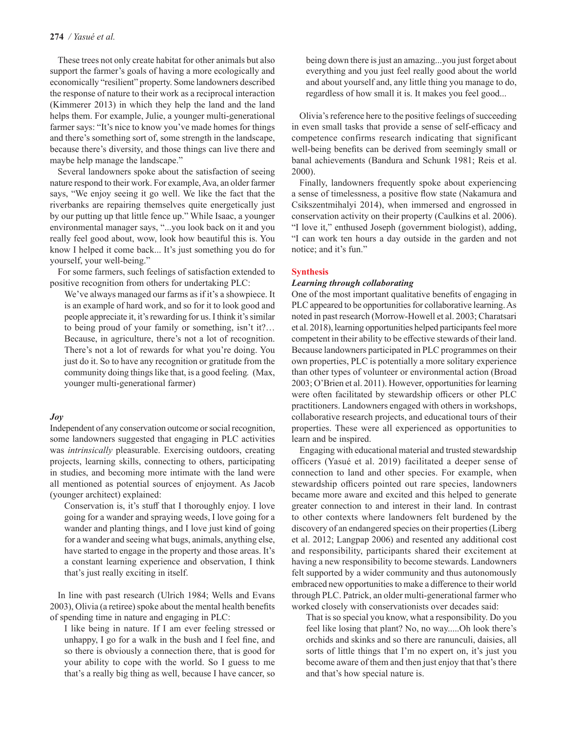These trees not only create habitat for other animals but also support the farmer's goals of having a more ecologically and economically "resilient" property. Some landowners described the response of nature to their work as a reciprocal interaction (Kimmerer 2013) in which they help the land and the land helps them. For example, Julie, a younger multi-generational farmer says: "It's nice to know you've made homes for things and there's something sort of, some strength in the landscape, because there's diversity, and those things can live there and maybe help manage the landscape."

Several landowners spoke about the satisfaction of seeing nature respond to their work. For example, Ava, an older farmer says, "We enjoy seeing it go well. We like the fact that the riverbanks are repairing themselves quite energetically just by our putting up that little fence up." While Isaac, a younger environmental manager says, "...you look back on it and you really feel good about, wow, look how beautiful this is. You know I helped it come back... It's just something you do for yourself, your well-being."

For some farmers, such feelings of satisfaction extended to positive recognition from others for undertaking PLC:

We've always managed our farms as if it's a showpiece. It is an example of hard work, and so for it to look good and people appreciate it, it's rewarding for us. I think it's similar to being proud of your family or something, isn't it?… Because, in agriculture, there's not a lot of recognition. There's not a lot of rewards for what you're doing. You just do it. So to have any recognition or gratitude from the community doing things like that, is a good feeling*.* (Max, younger multi-generational farmer)

## *Joy*

Independent of any conservation outcome or social recognition, some landowners suggested that engaging in PLC activities was *intrinsically* pleasurable. Exercising outdoors, creating projects, learning skills, connecting to others, participating in studies, and becoming more intimate with the land were all mentioned as potential sources of enjoyment. As Jacob (younger architect) explained:

Conservation is, it's stuff that I thoroughly enjoy. I love going for a wander and spraying weeds, I love going for a wander and planting things, and I love just kind of going for a wander and seeing what bugs, animals, anything else, have started to engage in the property and those areas. It's a constant learning experience and observation, I think that's just really exciting in itself.

In line with past research (Ulrich 1984; Wells and Evans 2003), Olivia (a retiree) spoke about the mental health benefits of spending time in nature and engaging in PLC:

I like being in nature. If I am ever feeling stressed or unhappy, I go for a walk in the bush and I feel fine, and so there is obviously a connection there, that is good for your ability to cope with the world. So I guess to me that's a really big thing as well, because I have cancer, so being down there is just an amazing...you just forget about everything and you just feel really good about the world and about yourself and, any little thing you manage to do, regardless of how small it is. It makes you feel good...

Olivia's reference here to the positive feelings of succeeding in even small tasks that provide a sense of self-efficacy and competence confirms research indicating that significant well-being benefits can be derived from seemingly small or banal achievements (Bandura and Schunk 1981; Reis et al. 2000).

Finally, landowners frequently spoke about experiencing a sense of timelessness, a positive flow state (Nakamura and Csikszentmihalyi 2014), when immersed and engrossed in conservation activity on their property (Caulkins et al. 2006). "I love it," enthused Joseph (government biologist), adding, "I can work ten hours a day outside in the garden and not notice; and it's fun."

# **Synthesis**

## *Learning through collaborating*

One of the most important qualitative benefits of engaging in PLC appeared to be opportunities for collaborative learning. As noted in past research (Morrow-Howell et al. 2003; Charatsari et al. 2018), learning opportunities helped participants feel more competent in their ability to be effective stewards of their land. Because landowners participated in PLC programmes on their own properties, PLC is potentially a more solitary experience than other types of volunteer or environmental action (Broad 2003; O'Brien et al. 2011). However, opportunities for learning were often facilitated by stewardship officers or other PLC practitioners. Landowners engaged with others in workshops, collaborative research projects, and educational tours of their properties. These were all experienced as opportunities to learn and be inspired.

Engaging with educational material and trusted stewardship officers (Yasué et al. 2019) facilitated a deeper sense of connection to land and other species. For example, when stewardship officers pointed out rare species, landowners became more aware and excited and this helped to generate greater connection to and interest in their land. In contrast to other contexts where landowners felt burdened by the discovery of an endangered species on their properties (Liberg et al. 2012; Langpap 2006) and resented any additional cost and responsibility, participants shared their excitement at having a new responsibility to become stewards. Landowners felt supported by a wider community and thus autonomously embraced new opportunities to make a difference to their world through PLC. Patrick, an older multi-generational farmer who worked closely with conservationists over decades said:

That is so special you know, what a responsibility. Do you feel like losing that plant? No, no way.....Oh look there's orchids and skinks and so there are ranunculi, daisies, all sorts of little things that I'm no expert on, it's just you become aware of them and then just enjoy that that's there and that's how special nature is.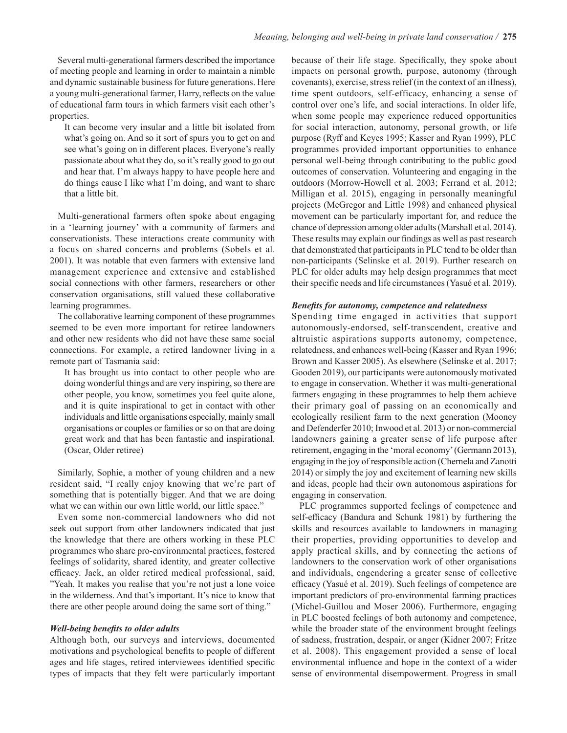Several multi-generational farmers described the importance of meeting people and learning in order to maintain a nimble and dynamic sustainable business for future generations. Here a young multi-generational farmer, Harry, reflects on the value of educational farm tours in which farmers visit each other's properties.

It can become very insular and a little bit isolated from what's going on. And so it sort of spurs you to get on and see what's going on in different places. Everyone's really passionate about what they do, so it's really good to go out and hear that. I'm always happy to have people here and do things cause I like what I'm doing, and want to share that a little bit.

Multi-generational farmers often spoke about engaging in a 'learning journey' with a community of farmers and conservationists. These interactions create community with a focus on shared concerns and problems (Sobels et al. 2001). It was notable that even farmers with extensive land management experience and extensive and established social connections with other farmers, researchers or other conservation organisations, still valued these collaborative learning programmes.

The collaborative learning component of these programmes seemed to be even more important for retiree landowners and other new residents who did not have these same social connections. For example, a retired landowner living in a remote part of Tasmania said:

It has brought us into contact to other people who are doing wonderful things and are very inspiring, so there are other people, you know, sometimes you feel quite alone, and it is quite inspirational to get in contact with other individuals and little organisations especially, mainly small organisations or couples or families or so on that are doing great work and that has been fantastic and inspirational. (Oscar, Older retiree)

Similarly, Sophie, a mother of young children and a new resident said, "I really enjoy knowing that we're part of something that is potentially bigger. And that we are doing what we can within our own little world, our little space."

Even some non-commercial landowners who did not seek out support from other landowners indicated that just the knowledge that there are others working in these PLC programmes who share pro-environmental practices, fostered feelings of solidarity, shared identity, and greater collective efficacy. Jack, an older retired medical professional, said, "Yeah. It makes you realise that you're not just a lone voice in the wilderness. And that's important. It's nice to know that there are other people around doing the same sort of thing."

#### *Well-being benefits to older adults*

Although both, our surveys and interviews, documented motivations and psychological benefits to people of different ages and life stages, retired interviewees identified specific types of impacts that they felt were particularly important because of their life stage. Specifically, they spoke about impacts on personal growth, purpose, autonomy (through covenants), exercise, stress relief (in the context of an illness), time spent outdoors, self-efficacy, enhancing a sense of control over one's life, and social interactions. In older life, when some people may experience reduced opportunities for social interaction, autonomy, personal growth, or life purpose (Ryff and Keyes 1995; Kasser and Ryan 1999), PLC programmes provided important opportunities to enhance personal well-being through contributing to the public good outcomes of conservation. Volunteering and engaging in the outdoors (Morrow-Howell et al. 2003; Ferrand et al. 2012; Milligan et al. 2015), engaging in personally meaningful projects (McGregor and Little 1998) and enhanced physical movement can be particularly important for, and reduce the chance of depression among older adults (Marshall et al. 2014). These results may explain our findings as well as past research that demonstrated that participants in PLC tend to be older than non-participants (Selinske et al. 2019). Further research on PLC for older adults may help design programmes that meet their specific needs and life circumstances (Yasué et al. 2019).

#### *Benefits for autonomy, competence and relatedness*

Spending time engaged in activities that support autonomously-endorsed, self-transcendent, creative and altruistic aspirations supports autonomy, competence, relatedness, and enhances well-being (Kasser and Ryan 1996; Brown and Kasser 2005). As elsewhere (Selinske et al. 2017; Gooden 2019), our participants were autonomously motivated to engage in conservation. Whether it was multi-generational farmers engaging in these programmes to help them achieve their primary goal of passing on an economically and ecologically resilient farm to the next generation (Mooney and Defenderfer 2010; Inwood et al. 2013) or non-commercial landowners gaining a greater sense of life purpose after retirement, engaging in the 'moral economy' (Germann 2013), engaging in the joy of responsible action (Chernela and Zanotti 2014) or simply the joy and excitement of learning new skills and ideas, people had their own autonomous aspirations for engaging in conservation.

PLC programmes supported feelings of competence and self-efficacy (Bandura and Schunk 1981) by furthering the skills and resources available to landowners in managing their properties, providing opportunities to develop and apply practical skills, and by connecting the actions of landowners to the conservation work of other organisations and individuals, engendering a greater sense of collective efficacy (Yasué et al. 2019). Such feelings of competence are important predictors of pro-environmental farming practices (Michel-Guillou and Moser 2006). Furthermore, engaging in PLC boosted feelings of both autonomy and competence, while the broader state of the environment brought feelings of sadness, frustration, despair, or anger (Kidner 2007; Fritze et al. 2008). This engagement provided a sense of local environmental influence and hope in the context of a wider sense of environmental disempowerment. Progress in small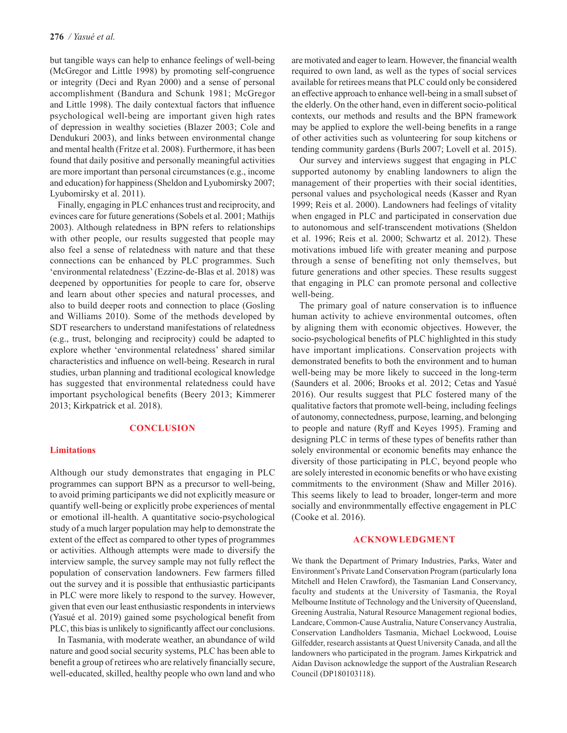but tangible ways can help to enhance feelings of well-being (McGregor and Little 1998) by promoting self-congruence or integrity (Deci and Ryan 2000) and a sense of personal accomplishment (Bandura and Schunk 1981; McGregor and Little 1998). The daily contextual factors that influence psychological well-being are important given high rates of depression in wealthy societies (Blazer 2003; Cole and Dendukuri 2003), and links between environmental change and mental health (Fritze et al. 2008). Furthermore, it has been found that daily positive and personally meaningful activities are more important than personal circumstances (e.g., income and education) for happiness (Sheldon and Lyubomirsky 2007; Lyubomirsky et al. 2011).

Finally, engaging in PLC enhances trust and reciprocity, and evinces care for future generations (Sobels et al. 2001; Mathijs 2003). Although relatedness in BPN refers to relationships with other people, our results suggested that people may also feel a sense of relatedness with nature and that these connections can be enhanced by PLC programmes. Such 'environmental relatedness' (Ezzine-de-Blas et al. 2018) was deepened by opportunities for people to care for, observe and learn about other species and natural processes, and also to build deeper roots and connection to place (Gosling and Williams 2010). Some of the methods developed by SDT researchers to understand manifestations of relatedness (e.g., trust, belonging and reciprocity) could be adapted to explore whether 'environmental relatedness' shared similar characteristics and influence on well-being. Research in rural studies, urban planning and traditional ecological knowledge has suggested that environmental relatedness could have important psychological benefits (Beery 2013; Kimmerer 2013; Kirkpatrick et al. 2018).

# **CONCLUSION**

## **Limitations**

Although our study demonstrates that engaging in PLC programmes can support BPN as a precursor to well-being, to avoid priming participants we did not explicitly measure or quantify well-being or explicitly probe experiences of mental or emotional ill-health. A quantitative socio-psychological study of a much larger population may help to demonstrate the extent of the effect as compared to other types of programmes or activities. Although attempts were made to diversify the interview sample, the survey sample may not fully reflect the population of conservation landowners. Few farmers filled out the survey and it is possible that enthusiastic participants in PLC were more likely to respond to the survey. However, given that even our least enthusiastic respondents in interviews (Yasué et al. 2019) gained some psychological benefit from PLC, this bias is unlikely to significantly affect our conclusions.

In Tasmania, with moderate weather, an abundance of wild nature and good social security systems, PLC has been able to benefit a group of retirees who are relatively financially secure, well-educated, skilled, healthy people who own land and who are motivated and eager to learn. However, the financial wealth required to own land, as well as the types of social services available for retirees means that PLC could only be considered an effective approach to enhance well-being in a small subset of the elderly. On the other hand, even in different socio-political contexts, our methods and results and the BPN framework may be applied to explore the well-being benefits in a range of other activities such as volunteering for soup kitchens or tending community gardens (Burls 2007; Lovell et al. 2015).

Our survey and interviews suggest that engaging in PLC supported autonomy by enabling landowners to align the management of their properties with their social identities, personal values and psychological needs (Kasser and Ryan 1999; Reis et al. 2000). Landowners had feelings of vitality when engaged in PLC and participated in conservation due to autonomous and self-transcendent motivations (Sheldon et al. 1996; Reis et al. 2000; Schwartz et al. 2012). These motivations imbued life with greater meaning and purpose through a sense of benefiting not only themselves, but future generations and other species. These results suggest that engaging in PLC can promote personal and collective well-being.

The primary goal of nature conservation is to influence human activity to achieve environmental outcomes, often by aligning them with economic objectives. However, the socio-psychological benefits of PLC highlighted in this study have important implications. Conservation projects with demonstrated benefits to both the environment and to human well-being may be more likely to succeed in the long-term (Saunders et al. 2006; Brooks et al. 2012; Cetas and Yasué 2016). Our results suggest that PLC fostered many of the qualitative factors that promote well-being, including feelings of autonomy, connectedness, purpose, learning, and belonging to people and nature (Ryff and Keyes 1995). Framing and designing PLC in terms of these types of benefits rather than solely environmental or economic benefits may enhance the diversity of those participating in PLC, beyond people who are solely interested in economic benefits or who have existing commitments to the environment (Shaw and Miller 2016). This seems likely to lead to broader, longer-term and more socially and environmmentally effective engagement in PLC (Cooke et al. 2016).

## **ACKNOWLEDGMENT**

We thank the Department of Primary Industries, Parks, Water and Environment's Private Land Conservation Program (particularly Iona Mitchell and Helen Crawford), the Tasmanian Land Conservancy, faculty and students at the University of Tasmania, the Royal Melbourne Institute of Technology and the University of Queensland, Greening Australia, Natural Resource Management regional bodies, Landcare, Common-Cause Australia, Nature Conservancy Australia, Conservation Landholders Tasmania, Michael Lockwood, Louise Gilfedder, research assistants at Quest University Canada, and all the landowners who participated in the program. James Kirkpatrick and Aidan Davison acknowledge the support of the Australian Research Council (DP180103118).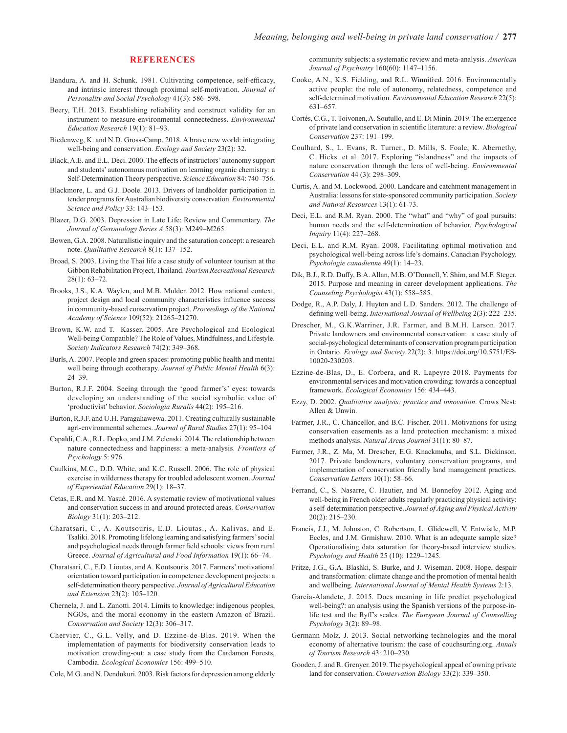#### **REFERENCES**

- Bandura, A. and H. Schunk. 1981. Cultivating competence, self-efficacy, and intrinsic interest through proximal self-motivation. *Journal of Personality and Social Psychology* 41(3): 586–598.
- Beery, T.H. 2013. Establishing reliability and construct validity for an instrument to measure environmental connectedness. *Environmental Education Research* 19(1): 81–93.
- Biedenweg, K. and N.D. Gross-Camp. 2018. A brave new world: integrating well-being and conservation. *Ecology and Society* 23(2): 32.
- Black, A.E. and E.L. Deci. 2000. The effects of instructors' autonomy support and students' autonomous motivation on learning organic chemistry: a Self-Determination Theory perspective. *Science Education* 84: 740–756.
- Blackmore, L. and G.J. Doole. 2013. Drivers of landholder participation in tender programs for Australian biodiversity conservation. *Environmental Science and Policy* 33: 143–153.
- Blazer, D.G. 2003. Depression in Late Life: Review and Commentary. *The Journal of Gerontology Series A* 58(3): M249–M265.
- Bowen, G.A. 2008. Naturalistic inquiry and the saturation concept: a research note. *Qualitative Research* 8(1): 137–152.
- Broad, S. 2003. Living the Thai life a case study of volunteer tourism at the Gibbon Rehabilitation Project, Thailand. *Tourism Recreational Research* 28(1): 63–72.
- Brooks, J.S., K.A. Waylen, and M.B. Mulder. 2012. How national context, project design and local community characteristics influence success in community-based conservation project. *Proceedings of the National Academy of Science* 109(52): 21265–21270.
- Brown, K.W. and T. Kasser. 2005. Are Psychological and Ecological Well-being Compatible? The Role of Values, Mindfulness, and Lifestyle. *Society Indicators Research* 74(2): 349–368.
- Burls, A. 2007. People and green spaces: promoting public health and mental well being through ecotherapy. *Journal of Public Mental Health* 6(3): 24–39.
- Burton, R.J.F. 2004. Seeing through the 'good farmer's' eyes: towards developing an understanding of the social symbolic value of 'productivist' behavior. *Sociologia Ruralis* 44(2): 195–216.
- Burton, R.J.F. and U.H. Paragahawewa. 2011. Creating culturally sustainable agri-environmental schemes. *Journal of Rural Studies* 27(1): 95–104
- Capaldi, C.A., R.L. Dopko, and J.M. Zelenski. 2014. The relationship between nature connectedness and happiness: a meta-analysis. *Frontiers of Psychology* 5: 976.
- Caulkins, M.C., D.D. White, and K.C. Russell. 2006. The role of physical exercise in wilderness therapy for troubled adolescent women. *Journal of Experiential Education* 29(1): 18–37.
- Cetas, E.R. and M. Yasué. 2016. A systematic review of motivational values and conservation success in and around protected areas. *Conservation Biology* 31(1): 203–212.
- Charatsari, C., A. Koutsouris, E.D. Lioutas., A. Kalivas, and E. Tsaliki. 2018. Promoting lifelong learning and satisfying farmers' social and psychological needs through farmer field schools: views from rural Greece. *Journal of Agricultural and Food Information* 19(1): 66–74.
- Charatsari, C., E.D. Lioutas, and A. Koutsouris. 2017. Farmers' motivational orientation toward participation in competence development projects: a self-determination theory perspective. *Journal of Agricultural Education and Extension* 23(2): 105–120.
- Chernela, J. and L. Zanotti. 2014. Limits to knowledge: indigenous peoples, NGOs, and the moral economy in the eastern Amazon of Brazil. *Conservation and Society* 12(3): 306–317.
- Chervier, C., G.L. Velly, and D. Ezzine-de-Blas. 2019. When the implementation of payments for biodiversity conservation leads to motivation crowding-out: a case study from the Cardamon Forests, Cambodia. *Ecological Economics* 156: 499–510.
- Cole, M.G. and N. Dendukuri. 2003. Risk factors for depression among elderly

community subjects: a systematic review and meta-analysis. *American Journal of Psychiatry* 160(60): 1147–1156.

- Cooke, A.N., K.S. Fielding, and R.L. Winnifred. 2016. Environmentally active people: the role of autonomy, relatedness, competence and self-determined motivation. *Environmental Education Research* 22(5): 631–657.
- Cortés, C.G., T. Toivonen, A. Soutullo, and E. Di Minin. 2019. The emergence of private land conservation in scientific literature: a review. *Biological Conservation* 237: 191–199.
- Coulhard, S., L. Evans, R. Turner., D. Mills, S. Foale, K. Abernethy, C. Hicks. et al. 2017. Exploring "islandness" and the impacts of nature conservation through the lens of well-being. *Environmental Conservation* 44 (3): 298–309.
- Curtis, A. and M. Lockwood. 2000. Landcare and catchment management in Australia: lessons for state-sponsored community participation. *Society and Natural Resources* 13(1): 61-73.
- Deci, E.L. and R.M. Ryan. 2000. The "what" and "why" of goal pursuits: human needs and the self-determination of behavior. *Psychological Inquiry* 11(4): 227–268.
- Deci, E.L. and R.M. Ryan. 2008. Facilitating optimal motivation and psychological well-being across life's domains. Canadian Psychology. *Psychologie canadienne* 49(1): 14–23.
- Dik, B.J., R.D. Duffy, B.A. Allan, M.B. O'Donnell, Y. Shim, and M.F. Steger. 2015. Purpose and meaning in career development applications. *The Counseling Psychologist* 43(1): 558–585.
- Dodge, R., A.P. Daly, J. Huyton and L.D. Sanders. 2012. The challenge of defining well-being. *International Journal of Wellbeing* 2(3): 222–235.
- Drescher, M., G.K.Warriner, J.R. Farmer, and B.M.H. Larson. 2017. Private landowners and environmental conservation: a case study of social-psychological determinants of conservation program participation in Ontario. *Ecology and Society* 22(2): 3. https://doi.org/10.5751/ES-10020-230203.
- Ezzine-de-Blas, D., E. Corbera, and R. Lapeyre 2018. Payments for environmental services and motivation crowding: towards a conceptual framework. *Ecological Economics* 156: 434–443.
- Ezzy, D. 2002. *Qualitative analysis: practice and innovation*. Crows Nest: Allen & Unwin.
- Farmer, J.R., C. Chancellor, and B.C. Fischer. 2011. Motivations for using conservation easements as a land protection mechanism: a mixed methods analysis. *Natural Areas Journal* 31(1): 80–87.
- Farmer, J.R., Z. Ma, M. Drescher, E.G. Knackmuhs, and S.L. Dickinson. 2017. Private landowners, voluntary conservation programs, and implementation of conservation friendly land management practices. *Conservation Letters* 10(1): 58–66.
- Ferrand, C., S. Nasarre, C. Hautier, and M. Bonnefoy 2012. Aging and well-being in French older adults regularly practicing physical activity: a self-determination perspective. *Journal of Aging and Physical Activity* 20(2): 215–230.
- Francis, J.J., M. Johnston, C. Robertson, L. Glidewell, V. Entwistle, M.P. Eccles, and J.M. Grmishaw. 2010. What is an adequate sample size? Operationalising data saturation for theory-based interview studies. *Psychology and Health* 25 (10): 1229–1245.
- Fritze, J.G., G.A. Blashki, S. Burke, and J. Wiseman. 2008. Hope, despair and transformation: climate change and the promotion of mental health and wellbeing. *International Journal of Mental Health Systems* 2:13.
- García-Alandete, J. 2015. Does meaning in life predict psychological well-being?: an analysis using the Spanish versions of the purpose-inlife test and the Ryff's scales. *The European Journal of Counselling Psychology* 3(2): 89–98.
- Germann Molz, J. 2013. Social networking technologies and the moral economy of alternative tourism: the case of couchsurfing.org. *Annals of Tourism Research* 43: 210–230.
- Gooden, J. and R. Grenyer. 2019. The psychological appeal of owning private land for conservation. *Conservation Biology* 33(2): 339–350.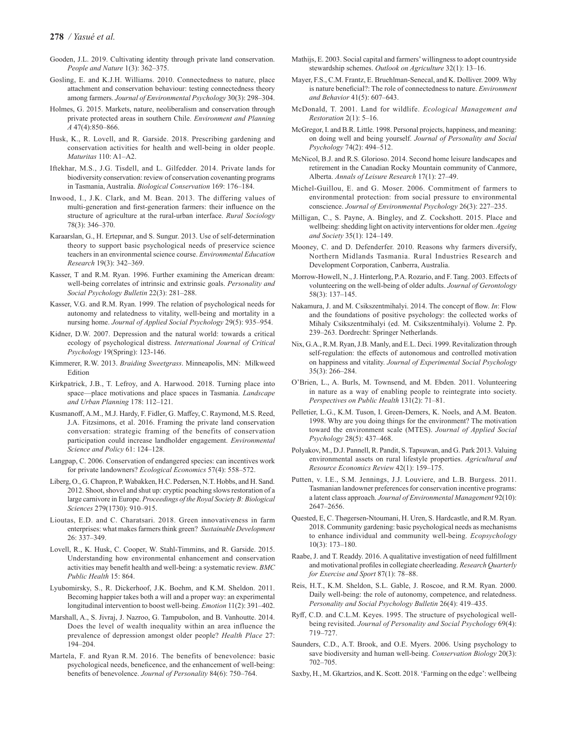- Gooden, J.L. 2019. Cultivating identity through private land conservation. *People and Nature* 1(3): 362–375.
- Gosling, E. and K.J.H. Williams. 2010. Connectedness to nature, place attachment and conservation behaviour: testing connectedness theory among farmers. *Journal of Environmental Psychology* 30(3): 298–304.
- Holmes, G. 2015. Markets, nature, neoliberalism and conservation through private protected areas in southern Chile. *Environment and Planning A* 47(4):850–866.
- Husk, K., R. Lovell, and R. Garside. 2018. Prescribing gardening and conservation activities for health and well-being in older people. *Maturitas* 110: A1–A2.
- Iftekhar, M.S., J.G. Tisdell, and L. Gilfedder. 2014. Private lands for biodiversity conservation: review of conservation covenanting programs in Tasmania, Australia. *Biological Conservation* 169: 176–184.
- Inwood, I., J.K. Clark, and M. Bean. 2013. The differing values of multi-generation and first-generation farmers: their influence on the structure of agriculture at the rural-urban interface. *Rural Sociology* 78(3): 346–370.
- Karaarslan, G., H. Ertepınar, and S. Sungur. 2013. Use of self-determination theory to support basic psychological needs of preservice science teachers in an environmental science course. *Environmental Education Research* 19(3): 342–369.
- Kasser, T and R.M. Ryan. 1996. Further examining the American dream: well-being correlates of intrinsic and extrinsic goals. *Personality and Social Psychology Bulletin* 22(3): 281–288.
- Kasser, V.G. and R.M. Ryan. 1999. The relation of psychological needs for autonomy and relatedness to vitality, well-being and mortality in a nursing home. *Journal of Applied Social Psychology* 29(5): 935–954.
- Kidner, D.W. 2007. Depression and the natural world: towards a critical ecology of psychological distress. *International Journal of Critical Psychology* 19(Spring): 123-146.
- Kimmerer, R.W. 2013. *Braiding Sweetgrass*. Minneapolis, MN: Milkweed Edition
- Kirkpatrick, J.B., T. Lefroy, and A. Harwood. 2018. Turning place into space—place motivations and place spaces in Tasmania. *Landscape and Urban Planning* 178: 112–121.
- Kusmanoff, A.M., M.J. Hardy, F. Fidler, G. Maffey, C. Raymond, M.S. Reed, J.A. Fitzsimons, et al. 2016. Framing the private land conservation conversation: strategic framing of the benefits of conservation participation could increase landholder engagement. *Environmental Science and Policy* 61: 124–128.
- Langpap, C. 2006. Conservation of endangered species: can incentives work for private landowners? *Ecological Economics* 57(4): 558–572.
- Liberg, O., G. Chapron, P. Wabakken, H.C. Pedersen, N.T. Hobbs, and H. Sand. 2012. Shoot, shovel and shut up: cryptic poaching slows restoration of a large carnivore in Europe. *Proceedings of the Royal Society B: Biological Sciences* 279(1730): 910–915.
- Lioutas, E.D. and C. Charatsari. 2018. Green innovativeness in farm enterprises: what makes farmers think green? *Sustainable Development* 26: 337–349.
- Lovell, R., K. Husk, C. Cooper, W. Stahl-Timmins, and R. Garside. 2015. Understanding how environmental enhancement and conservation activities may benefit health and well-being: a systematic review. *BMC Public Health* 15: 864.
- Lyubomirsky, S., R. Dickerhoof, J.K. Boehm, and K.M. Sheldon. 2011. Becoming happier takes both a will and a proper way: an experimental longitudinal intervention to boost well-being. *Emotion* 11(2): 391–402.
- Marshall, A., S. Jivraj, J. Nazroo, G. Tampubolon, and B. Vanhoutte. 2014. Does the level of wealth inequality within an area influence the prevalence of depression amongst older people? *Health Place* 27: 194–204.
- Martela, F. and Ryan R.M. 2016. The benefits of benevolence: basic psychological needs, beneficence, and the enhancement of well-being: benefits of benevolence. *Journal of Personality* 84(6): 750–764.
- Mathijs, E. 2003. Social capital and farmers' willingness to adopt countryside stewardship schemes. *Outlook on Agriculture* 32(1): 13–16.
- Mayer, F.S., C.M. Frantz, E. Bruehlman-Senecal, and K. Dolliver. 2009. Why is nature beneficial?: The role of connectedness to nature. *Environment and Behavior* 41(5): 607–643.
- McDonald, T. 2001. Land for wildlife. *Ecological Management and Restoration* 2(1): 5–16.
- McGregor, I. and B.R. Little. 1998. Personal projects, happiness, and meaning: on doing well and being yourself. *Journal of Personality and Social Psychology* 74(2): 494–512.
- McNicol, B.J. and R.S. Glorioso. 2014. Second home leisure landscapes and retirement in the Canadian Rocky Mountain community of Canmore, Alberta. *Annals of Leisure Research* 17(1): 27–49.
- Michel-Guillou, E. and G. Moser. 2006. Commitment of farmers to environmental protection: from social pressure to environmental conscience. *Journal of Environmental Psychology* 26(3): 227–235.
- Milligan, C., S. Payne, A. Bingley, and Z. Cockshott. 2015. Place and wellbeing: shedding light on activity interventions for older men. *Ageing and Society* 35(1): 124–149.
- Mooney, C. and D. Defenderfer. 2010. Reasons why farmers diversify, Northern Midlands Tasmania. Rural Industries Research and Development Corporation, Canberra, Australia.
- Morrow-Howell, N., J. Hinterlong, P.A. Rozario, and F. Tang. 2003. Effects of volunteering on the well-being of older adults. *Journal of Gerontology* 58(3): 137–145.
- Nakamura, J. and M. Csikszentmihalyi. 2014. The concept of flow. *In*: Flow and the foundations of positive psychology: the collected works of Mihaly Csikszentmihalyi (ed. M. Csikszentmihalyi). Volume 2. Pp. 239–263. Dordrecht: Springer Netherlands.
- Nix, G.A., R.M. Ryan, J.B. Manly, and E.L. Deci. 1999. Revitalization through self-regulation: the effects of autonomous and controlled motivation on happiness and vitality. *Journal of Experimental Social Psychology* 35(3): 266–284.
- O'Brien, L., A. Burls, M. Townsend, and M. Ebden. 2011. Volunteering in nature as a way of enabling people to reintegrate into society. *Perspectives on Public Health* 131(2): 71–81.
- Pelletier, L.G., K.M. Tuson, I. Green-Demers, K. Noels, and A.M. Beaton. 1998. Why are you doing things for the environment? The motivation toward the environment scale (MTES). *Journal of Applied Social Psychology* 28(5): 437–468.
- Polyakov, M., D.J. Pannell, R. Pandit, S. Tapsuwan, and G. Park 2013. Valuing environmental assets on rural lifestyle properties. *Agricultural and Resource Economics Review* 42(1): 159–175.
- Putten, v. I.E., S.M. Jennings, J.J. Louviere, and L.B. Burgess. 2011. Tasmanian landowner preferences for conservation incentive programs: a latent class approach. *Journal of Environmental Management* 92(10): 2647–2656.
- Quested, E, C. Thøgersen-Ntoumani, H. Uren, S. Hardcastle, and R.M. Ryan. 2018. Community gardening: basic psychological needs as mechanisms to enhance individual and community well-being. *Ecopsychology*  10(3): 173–180.
- Raabe, J. and T. Readdy. 2016. A qualitative investigation of need fulfillment and motivational profiles in collegiate cheerleading. *Research Quarterly for Exercise and Sport* 87(1): 78–88.
- Reis, H.T., K.M. Sheldon, S.L. Gable, J. Roscoe, and R.M. Ryan. 2000. Daily well-being: the role of autonomy, competence, and relatedness. *Personality and Social Psychology Bulletin* 26(4): 419–435.
- Ryff, C.D. and C.L.M. Keyes. 1995. The structure of psychological wellbeing revisited. *Journal of Personality and Social Psychology* 69(4): 719–727.
- Saunders, C.D., A.T. Brook, and O.E. Myers. 2006. Using psychology to save biodiversity and human well-being. *Conservation Biology* 20(3): 702–705.
- Saxby, H., M. Gkartzios, and K. Scott. 2018. 'Farming on the edge': wellbeing